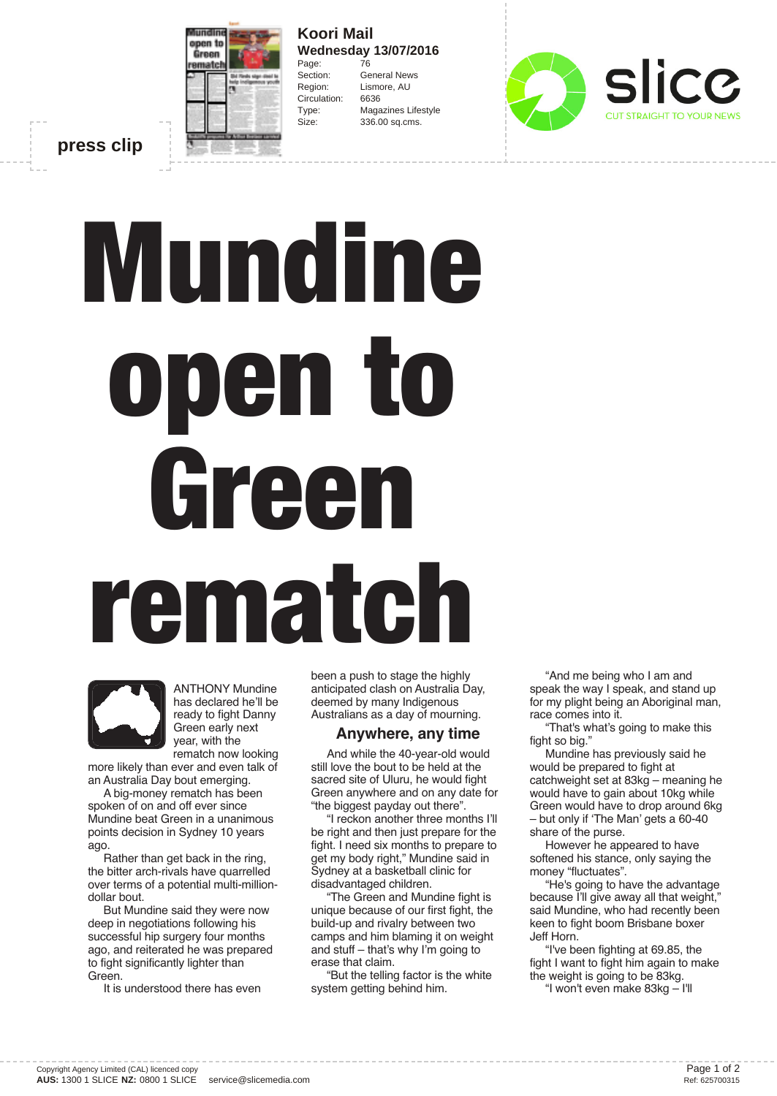

**Koori Mail Wednesday 13/07/2016** Page: 76 Section: General News Region: Lismore, AU Circulation: 6636 Type: Magazines Lifestyle Size: 336.00 sq.cms.



**press clip**

## **Mundine open to Green rematch**



ANTHONY Mundine has declared he'll be ready to fight Danny Green early next year, with the rematch now looking

more likely than ever and even talk of an Australia Day bout emerging.

A big-money rematch has been spoken of on and off ever since Mundine beat Green in a unanimous points decision in Sydney 10 years ago.

Rather than get back in the ring, the bitter arch-rivals have quarrelled over terms of a potential multi-milliondollar bout.

But Mundine said they were now deep in negotiations following his successful hip surgery four months ago, and reiterated he was prepared to fight significantly lighter than Green.

It is understood there has even

been a push to stage the highly anticipated clash on Australia Day, deemed by many Indigenous Australians as a day of mourning.

## **Anywhere, any time**

And while the 40-year-old would still love the bout to be held at the sacred site of Uluru, he would fight Green anywhere and on any date for "the biggest payday out there".

"I reckon another three months I'll be right and then just prepare for the fight. I need six months to prepare to get my body right," Mundine said in Sydney at a basketball clinic for disadvantaged children.

"The Green and Mundine fight is unique because of our first fight, the build-up and rivalry between two camps and him blaming it on weight and stuff – that's why I'm going to erase that claim.

"But the telling factor is the white system getting behind him.

"And me being who I am and speak the way I speak, and stand up for my plight being an Aboriginal man, race comes into it.

"That's what's going to make this fight so big."

Mundine has previously said he would be prepared to fight at catchweight set at 83kg – meaning he would have to gain about 10kg while Green would have to drop around 6kg – but only if 'The Man' gets a 60-40 share of the purse.

However he appeared to have softened his stance, only saying the money "fluctuates".

"He's going to have the advantage because I'll give away all that weight," said Mundine, who had recently been keen to fight boom Brisbane boxer Jeff Horn.

"I've been fighting at 69.85, the fight I want to fight him again to make the weight is going to be 83kg.

"I won't even make 83kg – I'll